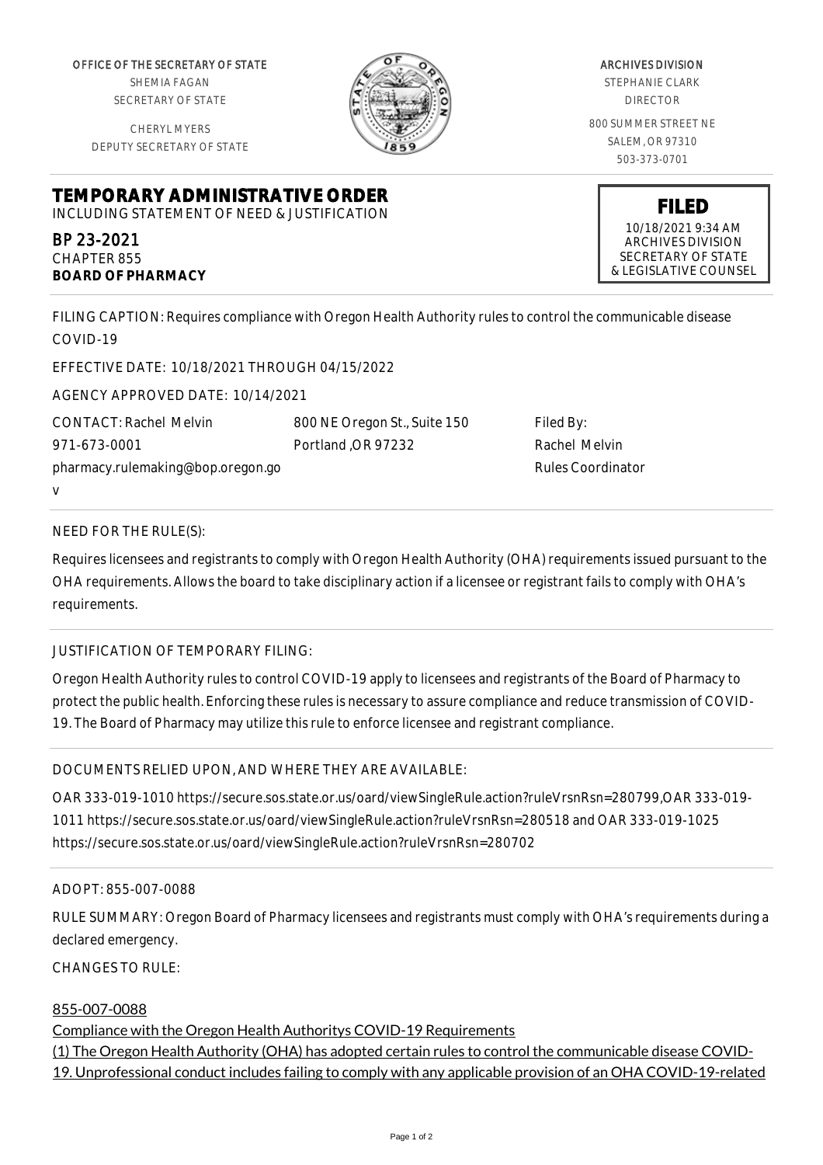OFFICE OF THE SECRETARY OF STATE SHEMIA FAGAN

SECRETARY OF STATE

CHERYL MYERS DEPUTY SECRETARY OF STATE

**TEMPORARY ADMINISTRATIVE ORDER** INCLUDING STATEMENT OF NEED & JUSTIFICATION

# BP 23-2021

CHAPTER 855 **BOARD OF PHARMACY**

FILING CAPTION: Requires compliance with Oregon Health Authority rules to control the communicable disease COVID-19

EFFECTIVE DATE: 10/18/2021 THROUGH 04/15/2022

AGENCY APPROVED DATE: 10/14/2021

CONTACT: Rachel Melvin 971-673-0001 800 NE Oregon St., Suite 150 Portland ,OR 97232

pharmacy.rulemaking@bop.oregon.go

v

## NEED FOR THE RULE(S):

Requires licensees and registrants to comply with Oregon Health Authority (OHA) requirements issued pursuant to the OHA requirements. Allows the board to take disciplinary action if a licensee or registrant fails to comply with OHA's requirements.

## JUSTIFICATION OF TEMPORARY FILING:

Oregon Health Authority rules to control COVID-19 apply to licensees and registrants of the Board of Pharmacy to protect the public health. Enforcing these rules is necessary to assure compliance and reduce transmission of COVID-19. The Board of Pharmacy may utilize this rule to enforce licensee and registrant compliance.

# DOCUMENTS RELIED UPON, AND WHERE THEY ARE AVAILABLE:

OAR 333-019-1010 https://secure.sos.state.or.us/oard/viewSingleRule.action?ruleVrsnRsn=280799,OAR 333-019- 1011 https://secure.sos.state.or.us/oard/viewSingleRule.action?ruleVrsnRsn=280518 and OAR 333-019-1025 https://secure.sos.state.or.us/oard/viewSingleRule.action?ruleVrsnRsn=280702

## ADOPT: 855-007-0088

RULE SUMMARY: Oregon Board of Pharmacy licensees and registrants must comply with OHA's requirements during a declared emergency.

CHANGES TO RULE:

## 855-007-0088

Compliance with the Oregon Health Authoritys COVID-19 Requirements

(1) The Oregon Health Authority (OHA) has adopted certain rules to control the communicable disease COVID-19. Unprofessional conduct includes failing to comply with any applicable provision of an OHA COVID-19-related

STEPHANIE CLARK DIRECTOR 800 SUMMER STREET NE SALEM, OR 97310 503-373-0701

Filed By:

Rachel Melvin Rules Coordinator

**FILED** 10/18/2021 9:34 AM ARCHIVES DIVISION SECRETARY OF STATE & LEGISLATIVE COUNSEL

ARCHIVES DIVISION